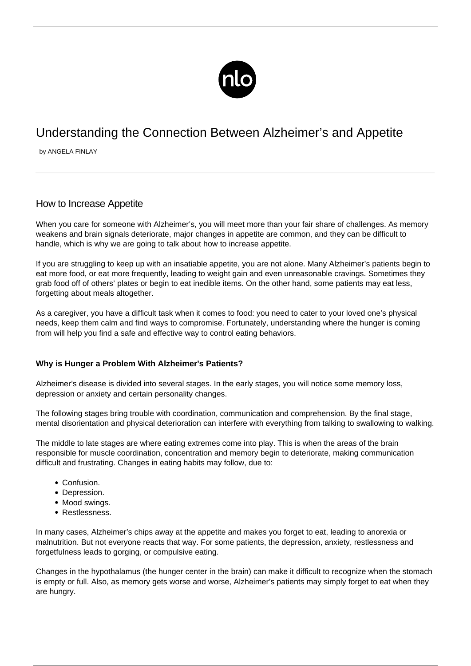

# Understanding the Connection Between Alzheimer's and Appetite

by ANGELA FINLAY

## How to Increase Appetite

When you care for someone with Alzheimer's, you will meet more than your fair share of challenges. As memory weakens and brain signals deteriorate, major changes in appetite are common, and they can be difficult to handle, which is why we are going to talk about how to increase appetite.

If you are struggling to keep up with an insatiable appetite, you are not alone. Many Alzheimer's patients begin to eat more food, or eat more frequently, leading to weight gain and even unreasonable cravings. Sometimes they grab food off of others' plates or begin to eat inedible items. On the other hand, some patients may eat less, forgetting about meals altogether.

As a caregiver, you have a difficult task when it comes to food: you need to cater to your loved one's physical needs, keep them calm and find ways to compromise. Fortunately, understanding where the hunger is coming from will help you find a safe and effective way to control eating behaviors.

### **Why is Hunger a Problem With Alzheimer's Patients?**

Alzheimer's disease is divided into [several stages.](/progression-of-alzheimers-disease/) In the early stages, you will notice some memory loss, depression or anxiety and certain personality changes.

The following stages bring trouble with coordination, communication and comprehension. By the final stage, mental disorientation and physical deterioration can interfere with everything from talking to swallowing to walking.

The middle to late stages are where eating extremes come into play. This is when the areas of the brain responsible for muscle coordination, concentration and memory begin to deteriorate, making communication difficult and frustrating. Changes in eating habits may follow, due to:

- Confusion.
- Depression.
- Mood swings.
- Restlessness.

In many cases, Alzheimer's chips away at the appetite and makes you forget to eat, leading to [anorexia or](https://www.webmd.com/alzheimers/not-eating-drinking-alzheimers) [malnutrition](https://www.webmd.com/alzheimers/not-eating-drinking-alzheimers). But not everyone reacts that way. For some patients, the depression, anxiety, restlessness and forgetfulness leads to gorging, or compulsive eating.

Changes in the hypothalamus (the hunger center in the brain) can make it difficult to recognize when the stomach is empty or full. Also, as memory gets worse and worse, Alzheimer's patients may simply forget to eat when they are hungry.